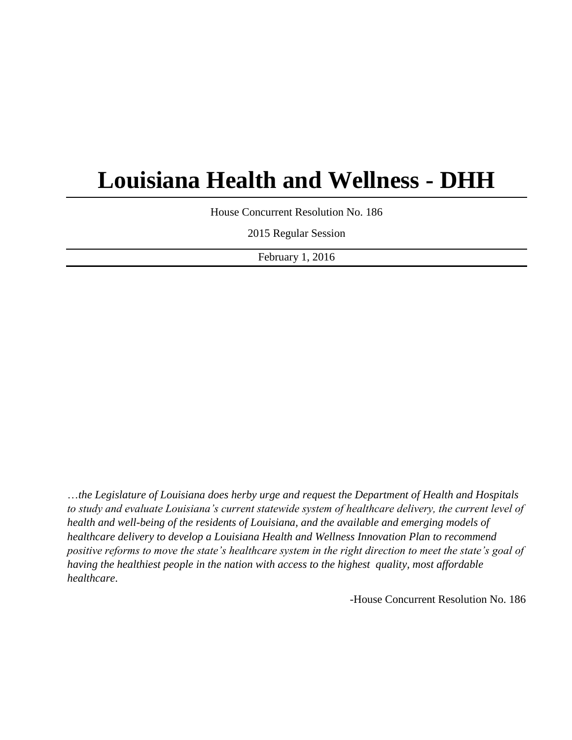# **Louisiana Health and Wellness - DHH**

House Concurrent Resolution No. 186

2015 Regular Session

February 1, 2016

…*the Legislature of Louisiana does herby urge and request the Department of Health and Hospitals to study and evaluate Louisiana's current statewide system of healthcare delivery, the current level of health and well-being of the residents of Louisiana, and the available and emerging models of healthcare delivery to develop a Louisiana Health and Wellness Innovation Plan to recommend positive reforms to move the state's healthcare system in the right direction to meet the state's goal of having the healthiest people in the nation with access to the highest quality, most affordable healthcare*.

-House Concurrent Resolution No. 186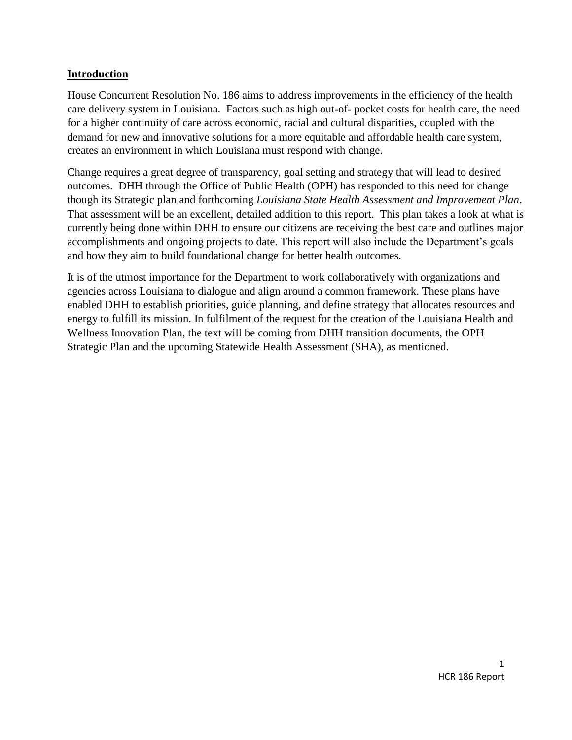#### **Introduction**

House Concurrent Resolution No. 186 aims to address improvements in the efficiency of the health care delivery system in Louisiana. Factors such as high out-of- pocket costs for health care, the need for a higher continuity of care across economic, racial and cultural disparities, coupled with the demand for new and innovative solutions for a more equitable and affordable health care system, creates an environment in which Louisiana must respond with change.

Change requires a great degree of transparency, goal setting and strategy that will lead to desired outcomes. DHH through the Office of Public Health (OPH) has responded to this need for change though its Strategic plan and forthcoming *Louisiana State Health Assessment and Improvement Plan*. That assessment will be an excellent, detailed addition to this report. This plan takes a look at what is currently being done within DHH to ensure our citizens are receiving the best care and outlines major accomplishments and ongoing projects to date. This report will also include the Department's goals and how they aim to build foundational change for better health outcomes.

It is of the utmost importance for the Department to work collaboratively with organizations and agencies across Louisiana to dialogue and align around a common framework. These plans have enabled DHH to establish priorities, guide planning, and define strategy that allocates resources and energy to fulfill its mission. In fulfilment of the request for the creation of the Louisiana Health and Wellness Innovation Plan, the text will be coming from DHH transition documents, the OPH Strategic Plan and the upcoming Statewide Health Assessment (SHA), as mentioned.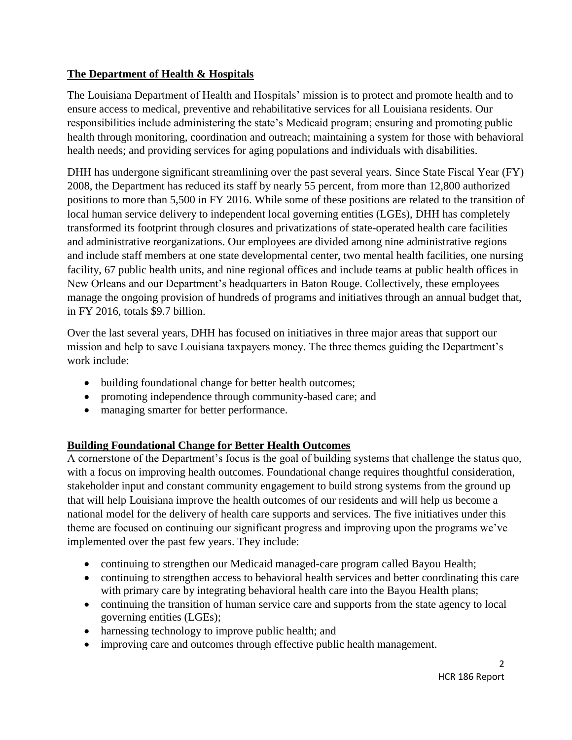## **The Department of Health & Hospitals**

The Louisiana Department of Health and Hospitals' mission is to protect and promote health and to ensure access to medical, preventive and rehabilitative services for all Louisiana residents. Our responsibilities include administering the state's Medicaid program; ensuring and promoting public health through monitoring, coordination and outreach; maintaining a system for those with behavioral health needs; and providing services for aging populations and individuals with disabilities.

DHH has undergone significant streamlining over the past several years. Since State Fiscal Year (FY) 2008, the Department has reduced its staff by nearly 55 percent, from more than 12,800 authorized positions to more than 5,500 in FY 2016. While some of these positions are related to the transition of local human service delivery to independent local governing entities (LGEs), DHH has completely transformed its footprint through closures and privatizations of state-operated health care facilities and administrative reorganizations. Our employees are divided among nine administrative regions and include staff members at one state developmental center, two mental health facilities, one nursing facility, 67 public health units, and nine regional offices and include teams at public health offices in New Orleans and our Department's headquarters in Baton Rouge. Collectively, these employees manage the ongoing provision of hundreds of programs and initiatives through an annual budget that, in FY 2016, totals \$9.7 billion.

Over the last several years, DHH has focused on initiatives in three major areas that support our mission and help to save Louisiana taxpayers money. The three themes guiding the Department's work include:

- building foundational change for better health outcomes;
- promoting independence through community-based care; and
- managing smarter for better performance.

# **Building Foundational Change for Better Health Outcomes**

A cornerstone of the Department's focus is the goal of building systems that challenge the status quo, with a focus on improving health outcomes. Foundational change requires thoughtful consideration, stakeholder input and constant community engagement to build strong systems from the ground up that will help Louisiana improve the health outcomes of our residents and will help us become a national model for the delivery of health care supports and services. The five initiatives under this theme are focused on continuing our significant progress and improving upon the programs we've implemented over the past few years. They include:

- continuing to strengthen our Medicaid managed-care program called Bayou Health;
- continuing to strengthen access to behavioral health services and better coordinating this care with primary care by integrating behavioral health care into the Bayou Health plans;
- continuing the transition of human service care and supports from the state agency to local governing entities (LGEs);
- harnessing technology to improve public health; and
- improving care and outcomes through effective public health management.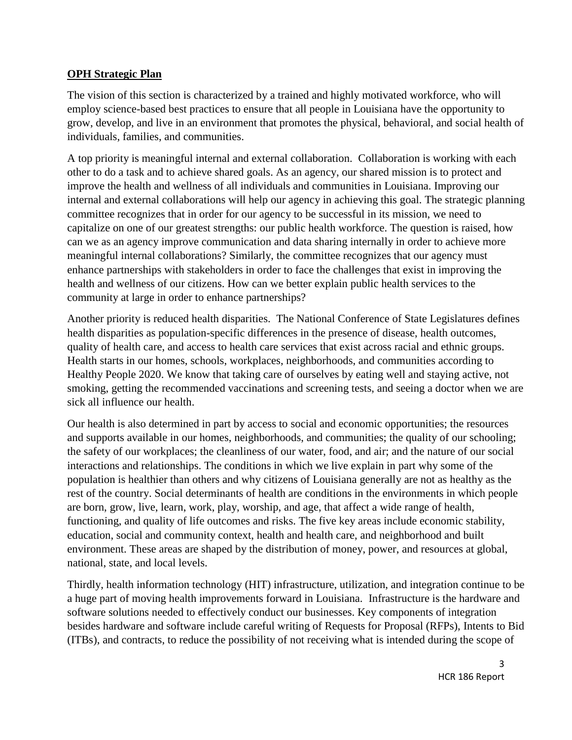#### **OPH Strategic Plan**

The vision of this section is characterized by a trained and highly motivated workforce, who will employ science-based best practices to ensure that all people in Louisiana have the opportunity to grow, develop, and live in an environment that promotes the physical, behavioral, and social health of individuals, families, and communities.

A top priority is meaningful internal and external collaboration. Collaboration is working with each other to do a task and to achieve shared goals. As an agency, our shared mission is to protect and improve the health and wellness of all individuals and communities in Louisiana. Improving our internal and external collaborations will help our agency in achieving this goal. The strategic planning committee recognizes that in order for our agency to be successful in its mission, we need to capitalize on one of our greatest strengths: our public health workforce. The question is raised, how can we as an agency improve communication and data sharing internally in order to achieve more meaningful internal collaborations? Similarly, the committee recognizes that our agency must enhance partnerships with stakeholders in order to face the challenges that exist in improving the health and wellness of our citizens. How can we better explain public health services to the community at large in order to enhance partnerships?

Another priority is reduced health disparities. The National Conference of State Legislatures defines health disparities as population-specific differences in the presence of disease, health outcomes, quality of health care, and access to health care services that exist across racial and ethnic groups. Health starts in our homes, schools, workplaces, neighborhoods, and communities according to Healthy People 2020. We know that taking care of ourselves by eating well and staying active, not smoking, getting the recommended vaccinations and screening tests, and seeing a doctor when we are sick all influence our health.

Our health is also determined in part by access to social and economic opportunities; the resources and supports available in our homes, neighborhoods, and communities; the quality of our schooling; the safety of our workplaces; the cleanliness of our water, food, and air; and the nature of our social interactions and relationships. The conditions in which we live explain in part why some of the population is healthier than others and why citizens of Louisiana generally are not as healthy as the rest of the country. Social determinants of health are conditions in the environments in which people are born, grow, live, learn, work, play, worship, and age, that affect a wide range of health, functioning, and quality of life outcomes and risks. The five key areas include economic stability, education, social and community context, health and health care, and neighborhood and built environment. These areas are shaped by the distribution of money, power, and resources at global, national, state, and local levels.

Thirdly, health information technology (HIT) infrastructure, utilization, and integration continue to be a huge part of moving health improvements forward in Louisiana. Infrastructure is the hardware and software solutions needed to effectively conduct our businesses. Key components of integration besides hardware and software include careful writing of Requests for Proposal (RFPs), Intents to Bid (ITBs), and contracts, to reduce the possibility of not receiving what is intended during the scope of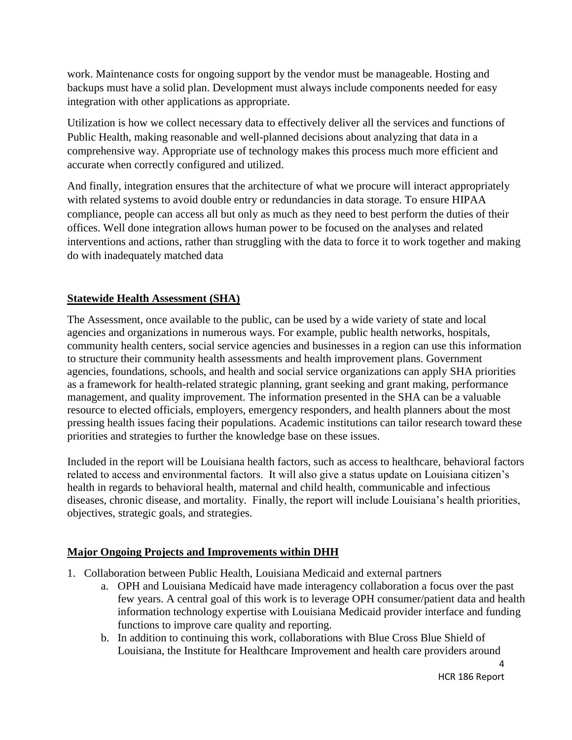work. Maintenance costs for ongoing support by the vendor must be manageable. Hosting and backups must have a solid plan. Development must always include components needed for easy integration with other applications as appropriate.

Utilization is how we collect necessary data to effectively deliver all the services and functions of Public Health, making reasonable and well-planned decisions about analyzing that data in a comprehensive way. Appropriate use of technology makes this process much more efficient and accurate when correctly configured and utilized.

And finally, integration ensures that the architecture of what we procure will interact appropriately with related systems to avoid double entry or redundancies in data storage. To ensure HIPAA compliance, people can access all but only as much as they need to best perform the duties of their offices. Well done integration allows human power to be focused on the analyses and related interventions and actions, rather than struggling with the data to force it to work together and making do with inadequately matched data

## **Statewide Health Assessment (SHA)**

The Assessment, once available to the public, can be used by a wide variety of state and local agencies and organizations in numerous ways. For example, public health networks, hospitals, community health centers, social service agencies and businesses in a region can use this information to structure their community health assessments and health improvement plans. Government agencies, foundations, schools, and health and social service organizations can apply SHA priorities as a framework for health-related strategic planning, grant seeking and grant making, performance management, and quality improvement. The information presented in the SHA can be a valuable resource to elected officials, employers, emergency responders, and health planners about the most pressing health issues facing their populations. Academic institutions can tailor research toward these priorities and strategies to further the knowledge base on these issues.

Included in the report will be Louisiana health factors, such as access to healthcare, behavioral factors related to access and environmental factors. It will also give a status update on Louisiana citizen's health in regards to behavioral health, maternal and child health, communicable and infectious diseases, chronic disease, and mortality. Finally, the report will include Louisiana's health priorities, objectives, strategic goals, and strategies.

#### **Major Ongoing Projects and Improvements within DHH**

- 1. Collaboration between Public Health, Louisiana Medicaid and external partners
	- a. OPH and Louisiana Medicaid have made interagency collaboration a focus over the past few years. A central goal of this work is to leverage OPH consumer/patient data and health information technology expertise with Louisiana Medicaid provider interface and funding functions to improve care quality and reporting.
	- b. In addition to continuing this work, collaborations with Blue Cross Blue Shield of Louisiana, the Institute for Healthcare Improvement and health care providers around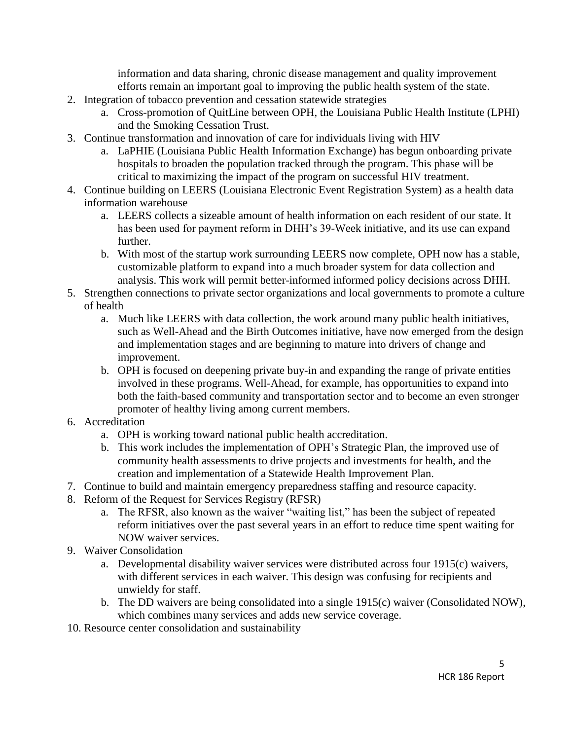information and data sharing, chronic disease management and quality improvement efforts remain an important goal to improving the public health system of the state.

- 2. Integration of tobacco prevention and cessation statewide strategies
	- a. Cross-promotion of QuitLine between OPH, the Louisiana Public Health Institute (LPHI) and the Smoking Cessation Trust.
- 3. Continue transformation and innovation of care for individuals living with HIV
	- a. LaPHIE (Louisiana Public Health Information Exchange) has begun onboarding private hospitals to broaden the population tracked through the program. This phase will be critical to maximizing the impact of the program on successful HIV treatment.
- 4. Continue building on LEERS (Louisiana Electronic Event Registration System) as a health data information warehouse
	- a. LEERS collects a sizeable amount of health information on each resident of our state. It has been used for payment reform in DHH's 39-Week initiative, and its use can expand further.
	- b. With most of the startup work surrounding LEERS now complete, OPH now has a stable, customizable platform to expand into a much broader system for data collection and analysis. This work will permit better-informed informed policy decisions across DHH.
- 5. Strengthen connections to private sector organizations and local governments to promote a culture of health
	- a. Much like LEERS with data collection, the work around many public health initiatives, such as Well-Ahead and the Birth Outcomes initiative, have now emerged from the design and implementation stages and are beginning to mature into drivers of change and improvement.
	- b. OPH is focused on deepening private buy-in and expanding the range of private entities involved in these programs. Well-Ahead, for example, has opportunities to expand into both the faith-based community and transportation sector and to become an even stronger promoter of healthy living among current members.
- 6. Accreditation
	- a. OPH is working toward national public health accreditation.
	- b. This work includes the implementation of OPH's Strategic Plan, the improved use of community health assessments to drive projects and investments for health, and the creation and implementation of a Statewide Health Improvement Plan.
- 7. Continue to build and maintain emergency preparedness staffing and resource capacity.
- 8. Reform of the Request for Services Registry (RFSR)
	- a. The RFSR, also known as the waiver "waiting list," has been the subject of repeated reform initiatives over the past several years in an effort to reduce time spent waiting for NOW waiver services.
- 9. Waiver Consolidation
	- a. Developmental disability waiver services were distributed across four 1915(c) waivers, with different services in each waiver. This design was confusing for recipients and unwieldy for staff.
	- b. The DD waivers are being consolidated into a single 1915(c) waiver (Consolidated NOW), which combines many services and adds new service coverage.
- 10. Resource center consolidation and sustainability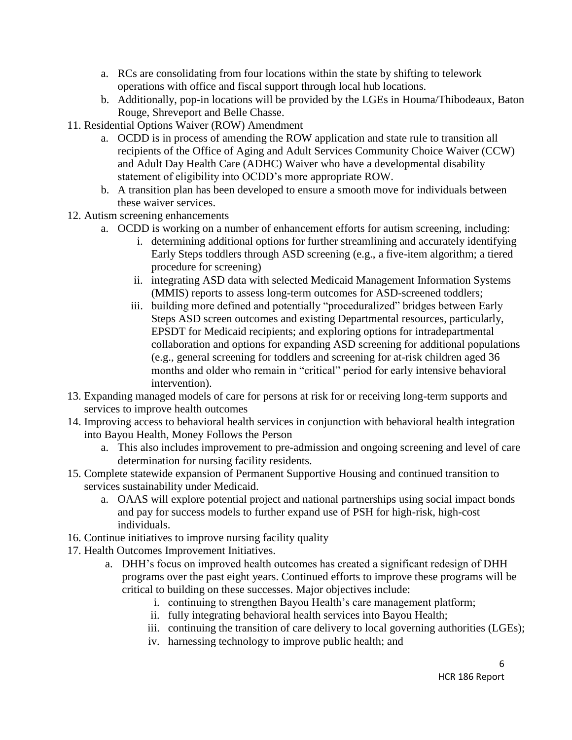- a. RCs are consolidating from four locations within the state by shifting to telework operations with office and fiscal support through local hub locations.
- b. Additionally, pop-in locations will be provided by the LGEs in Houma/Thibodeaux, Baton Rouge, Shreveport and Belle Chasse.
- 11. Residential Options Waiver (ROW) Amendment
	- a. OCDD is in process of amending the ROW application and state rule to transition all recipients of the Office of Aging and Adult Services Community Choice Waiver (CCW) and Adult Day Health Care (ADHC) Waiver who have a developmental disability statement of eligibility into OCDD's more appropriate ROW.
	- b. A transition plan has been developed to ensure a smooth move for individuals between these waiver services.
- 12. Autism screening enhancements
	- a. OCDD is working on a number of enhancement efforts for autism screening, including:
		- i. determining additional options for further streamlining and accurately identifying Early Steps toddlers through ASD screening (e.g., a five-item algorithm; a tiered procedure for screening)
		- ii. integrating ASD data with selected Medicaid Management Information Systems (MMIS) reports to assess long-term outcomes for ASD-screened toddlers;
		- iii. building more defined and potentially "proceduralized" bridges between Early Steps ASD screen outcomes and existing Departmental resources, particularly, EPSDT for Medicaid recipients; and exploring options for intradepartmental collaboration and options for expanding ASD screening for additional populations (e.g., general screening for toddlers and screening for at-risk children aged 36 months and older who remain in "critical" period for early intensive behavioral intervention).
- 13. Expanding managed models of care for persons at risk for or receiving long-term supports and services to improve health outcomes
- 14. Improving access to behavioral health services in conjunction with behavioral health integration into Bayou Health, Money Follows the Person
	- a. This also includes improvement to pre-admission and ongoing screening and level of care determination for nursing facility residents.
- 15. Complete statewide expansion of Permanent Supportive Housing and continued transition to services sustainability under Medicaid.
	- a. OAAS will explore potential project and national partnerships using social impact bonds and pay for success models to further expand use of PSH for high-risk, high-cost individuals.
- 16. Continue initiatives to improve nursing facility quality
- 17. Health Outcomes Improvement Initiatives.
	- a. DHH's focus on improved health outcomes has created a significant redesign of DHH programs over the past eight years. Continued efforts to improve these programs will be critical to building on these successes. Major objectives include:
		- i. continuing to strengthen Bayou Health's care management platform;
		- ii. fully integrating behavioral health services into Bayou Health;
		- iii. continuing the transition of care delivery to local governing authorities (LGEs);
		- iv. harnessing technology to improve public health; and